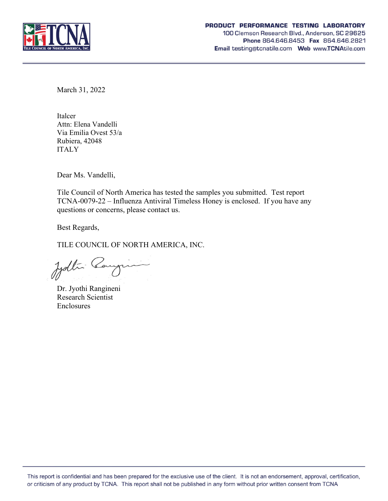

March 31, 2022

Italcer Attn: Elena Vandelli Via Emilia Ovest 53/a Rubiera, 42048 ITALY

Dear Ms. Vandelli,

Tile Council of North America has tested the samples you submitted. Test report TCNA-0079-22 – Influenza Antiviral Timeless Honey is enclosed. If you have any questions or concerns, please contact us.

Best Regards,

TILE COUNCIL OF NORTH AMERICA, INC.

Judtin Cangin

Dr. Jyothi Rangineni Research Scientist **Enclosures**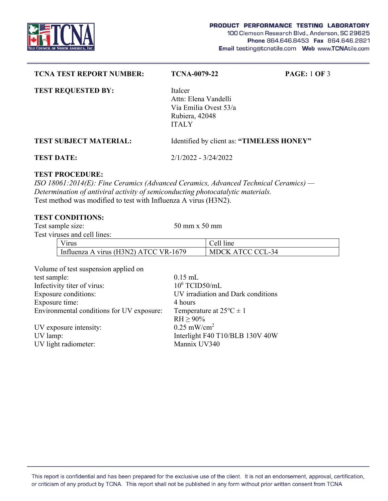

| <b>TCNA TEST REPORT NUMBER:</b> | <b>TCNA-0079-22</b>                                                                        | <b>PAGE: 1 OF 3</b> |
|---------------------------------|--------------------------------------------------------------------------------------------|---------------------|
| <b>TEST REQUESTED BY:</b>       | Italcer<br>Attn: Elena Vandelli<br>Via Emilia Ovest 53/a<br>Rubiera, 42048<br><b>ITALY</b> |                     |
| <b>TEST SUBJECT MATERIAL:</b>   | Identified by client as: "TIMELESS HONEY"                                                  |                     |
| <b>TEST DATE:</b>               | 2/1/2022 - 3/24/2022                                                                       |                     |

# **TEST PROCEDURE:**

*ISO 18061:2014(E): Fine Ceramics (Advanced Ceramics, Advanced Technical Ceramics) — Determination of antiviral activity of semiconducting photocatalytic materials.*  Test method was modified to test with Influenza A virus (H3N2).

# **TEST CONDITIONS:**

Test sample size: 50 mm x 50 mm Test viruses and cell lines: Virus Cell line Influenza A virus (H3N2) ATCC VR-1679 MDCK ATCC CCL-34

| Volume of test suspension applied on      |                                    |
|-------------------------------------------|------------------------------------|
| test sample:                              | $0.15$ mL                          |
| Infectivity titer of virus:               | $10^6$ TCID50/mL                   |
| <b>Exposure conditions:</b>               | UV irradiation and Dark conditions |
| Exposure time:                            | 4 hours                            |
| Environmental conditions for UV exposure: | Temperature at $25^{\circ}C \pm 1$ |
|                                           | $RH \geq 90\%$                     |
| UV exposure intensity:                    | $0.25$ mW/cm <sup>2</sup>          |
| UV lamp:                                  | Interlight F40 T10/BLB 130V 40W    |
| UV light radiometer:                      | Mannix UV340                       |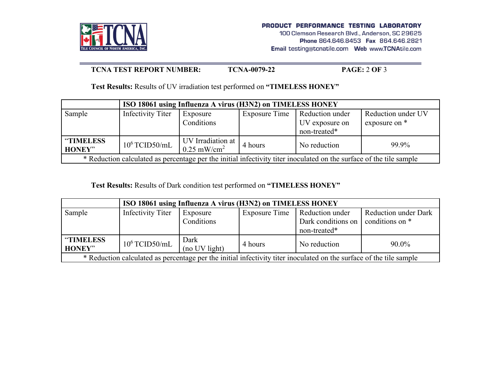

### **TCNA TEST REPORT NUMBER:** TCNA-0079-22 **PAGE: 2 OF 3**

**Test Results:** Results of UV irradiation test performed on **"TIMELESS HONEY"** 

| ISO 18061 using Influenza A virus (H3N2) on TIMELESS HONEY                                                          |                   |                                                                                                  |         |                                                                   |                                     |
|---------------------------------------------------------------------------------------------------------------------|-------------------|--------------------------------------------------------------------------------------------------|---------|-------------------------------------------------------------------|-------------------------------------|
| Sample                                                                                                              | Infectivity Titer | Exposure<br>Conditions                                                                           |         | Exposure Time   Reduction under<br>UV exposure on<br>non-treated* | Reduction under UV<br>exposure on * |
| <b>"TIMELESS"</b><br><b>HONEY"</b>                                                                                  | $10^6$ TCID50/mL  | $\begin{array}{ c c c c }\n\hline\n\text{UV Irradiation at} & 0.25 \text{ mW/cm}^2\n\end{array}$ | 4 hours | No reduction                                                      | 99.9%                               |
| * Reduction calculated as percentage per the initial infectivity titer inoculated on the surface of the tile sample |                   |                                                                                                  |         |                                                                   |                                     |

**Test Results:** Results of Dark condition test performed on **"TIMELESS HONEY"** 

|                                                                                                                     | ISO 18061 using Influenza A virus (H3N2) on TIMELESS HONEY |                        |                      |                                                       |                                                |  |
|---------------------------------------------------------------------------------------------------------------------|------------------------------------------------------------|------------------------|----------------------|-------------------------------------------------------|------------------------------------------------|--|
| Sample                                                                                                              | <b>Infectivity Titer</b>                                   | Exposure<br>Conditions | <b>Exposure Time</b> | Reduction under<br>Dark conditions on<br>non-treated* | <b>Reduction under Dark</b><br>conditions on * |  |
| "TIMELESS<br><b>HONEY"</b>                                                                                          | $10^6$ TCID50/mL                                           | Dark<br>(no UV light)  | 4 hours              | No reduction                                          | $90.0\%$                                       |  |
| * Reduction calculated as percentage per the initial infectivity titer inoculated on the surface of the tile sample |                                                            |                        |                      |                                                       |                                                |  |